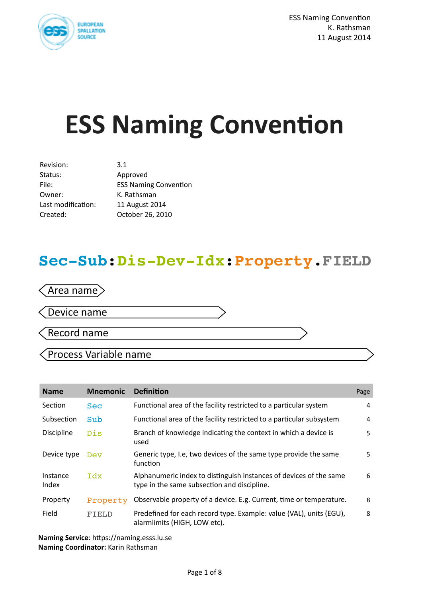

**ESS Naming Convention** K. Rathsman 11 August 2014

# **ESS Naming Convention**

| Revision:          | 3.1                          |
|--------------------|------------------------------|
| Status:            | Approved                     |
| File:              | <b>ESS Naming Convention</b> |
| Owner:             | K. Rathsman                  |
| Last modification: | 11 August 2014               |
| Created:           | October 26, 2010             |

## **Sec-Sub:Dis-Dev-Idx:Property.FIELD**

#### Area name

Device name

Record name

### Process Variable name

| <b>Name</b>       | <b>Mnemonic</b> | <b>Definition</b>                                                                                                 | Page |
|-------------------|-----------------|-------------------------------------------------------------------------------------------------------------------|------|
| Section           | <b>Sec</b>      | Functional area of the facility restricted to a particular system                                                 |      |
| Subsection        | Sub             | Functional area of the facility restricted to a particular subsystem                                              |      |
| <b>Discipline</b> | Dis             | Branch of knowledge indicating the context in which a device is<br>used                                           |      |
| Device type       | Dev             | Generic type, I.e, two devices of the same type provide the same<br>function                                      | 5    |
| Instance<br>Index | <b>Tdx</b>      | Alphanumeric index to distinguish instances of devices of the same<br>type in the same subsection and discipline. |      |
| Property          | Property        | Observable property of a device. E.g. Current, time or temperature.                                               | 8    |
| Field             | FIELD           | Predefined for each record type. Example: value (VAL), units (EGU),<br>alarmlimits (HIGH, LOW etc).               | 8    |

Naming Service: https://naming.esss.lu.se **Naming Coordinator:** Karin Rathsman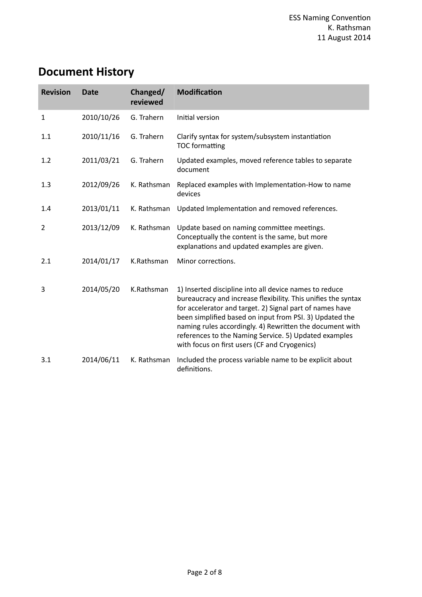## **Document History**

| <b>Revision</b> | <b>Date</b> | Changed/<br>reviewed | <b>Modification</b>                                                                                                                                                                                                                                                                                                                                                                                                  |
|-----------------|-------------|----------------------|----------------------------------------------------------------------------------------------------------------------------------------------------------------------------------------------------------------------------------------------------------------------------------------------------------------------------------------------------------------------------------------------------------------------|
| 1               | 2010/10/26  | G. Trahern           | Initial version                                                                                                                                                                                                                                                                                                                                                                                                      |
| 1.1             | 2010/11/16  | G. Trahern           | Clarify syntax for system/subsystem instantiation<br><b>TOC</b> formatting                                                                                                                                                                                                                                                                                                                                           |
| 1.2             | 2011/03/21  | G. Trahern           | Updated examples, moved reference tables to separate<br>document                                                                                                                                                                                                                                                                                                                                                     |
| 1.3             | 2012/09/26  | K. Rathsman          | Replaced examples with Implementation-How to name<br>devices                                                                                                                                                                                                                                                                                                                                                         |
| 1.4             | 2013/01/11  | K. Rathsman          | Updated Implementation and removed references.                                                                                                                                                                                                                                                                                                                                                                       |
| $\overline{2}$  | 2013/12/09  | K. Rathsman          | Update based on naming committee meetings.<br>Conceptually the content is the same, but more<br>explanations and updated examples are given.                                                                                                                                                                                                                                                                         |
| 2.1             | 2014/01/17  | K.Rathsman           | Minor corrections.                                                                                                                                                                                                                                                                                                                                                                                                   |
| 3               | 2014/05/20  | K.Rathsman           | 1) Inserted discipline into all device names to reduce<br>bureaucracy and increase flexibility. This unifies the syntax<br>for accelerator and target. 2) Signal part of names have<br>been simplified based on input from PSI. 3) Updated the<br>naming rules accordingly. 4) Rewritten the document with<br>references to the Naming Service. 5) Updated examples<br>with focus on first users (CF and Cryogenics) |
| 3.1             | 2014/06/11  | K. Rathsman          | Included the process variable name to be explicit about<br>definitions.                                                                                                                                                                                                                                                                                                                                              |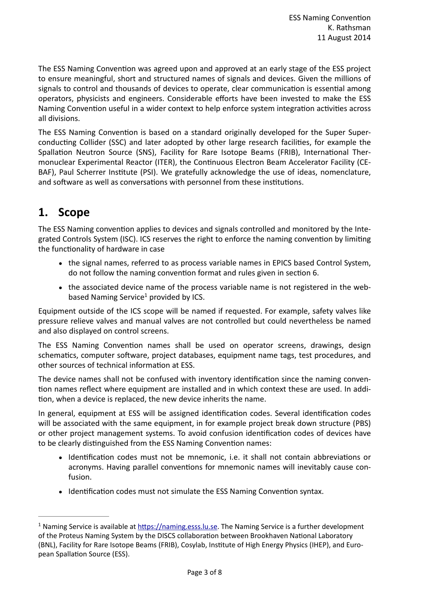The ESS Naming Convention was agreed upon and approved at an early stage of the ESS project to ensure meaningful, short and structured names of signals and devices. Given the millions of signals to control and thousands of devices to operate, clear communication is essential among operators, physicists and engineers. Considerable efforts have been invested to make the ESS Naming Convention useful in a wider context to help enforce system integration activities across all divisions.

The ESS Naming Convention is based on a standard originally developed for the Superconducting Collider (SSC) and later adopted by other large research facilities, for example the Spallation Neutron Source (SNS), Facility for Rare Isotope Beams (FRIB), International Thermonuclear Experimental Reactor (ITER), the Continuous Electron Beam Accelerator Facility (CE-BAF), Paul Scherrer Institute (PSI). We gratefully acknowledge the use of ideas, nomenclature, and software as well as conversations with personnel from these institutions.

## 1. Scope

The ESS Naming convention applies to devices and signals controlled and monitored by the Integrated Controls System (ISC). ICS reserves the right to enforce the naming convention by limiting the functionality of hardware in case

- the signal names, referred to as process variable names in EPICS based Control System, do not follow the naming convention format and rules given in section 6.
- the associated device name of the process variable name is not registered in the webbased Naming Service<sup>1</sup> provided by ICS.

Equipment outside of the ICS scope will be named if requested. For example, safety valves like pressure relieve valves and manual valves are not controlled but could nevertheless be named and also displayed on control screens.

The ESS Naming Convention names shall be used on operator screens, drawings, design schematics, computer software, project databases, equipment name tags, test procedures, and other sources of technical information at ESS.

The device names shall not be confused with inventory identification since the naming convention names reflect where equipment are installed and in which context these are used. In addition, when a device is replaced, the new device inherits the name.

In general, equipment at ESS will be assigned identification codes. Several identification codes will be associated with the same equipment, in for example project break down structure (PBS) or other project management systems. To avoid confusion identification codes of devices have to be clearly distinguished from the ESS Naming Convention names:

- Identification codes must not be mnemonic, i.e. it shall not contain abbreviations or acronyms. Having parallel conventions for mnemonic names will inevitably cause confusion.
- Identification codes must not simulate the ESS Naming Convention syntax.

<sup>&</sup>lt;sup>1</sup> Naming Service is available at  $\frac{https://naming.ess.lu.se.}$  The Naming Service is a further development of the Proteus Naming System by the DISCS collaboration between Brookhaven National Laboratory (BNL), Facility for Rare Isotope Beams (FRIB), Cosylab, Institute of High Energy Physics (IHEP), and European Spallation Source (ESS).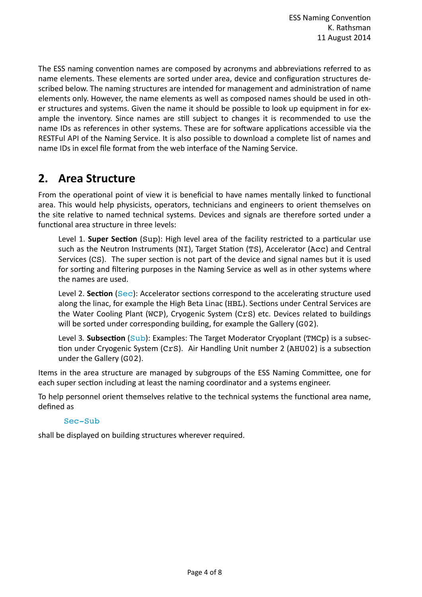The ESS naming convention names are composed by acronyms and abbreviations referred to as name elements. These elements are sorted under area, device and configuration structures described below. The naming structures are intended for management and administration of name elements only. However, the name elements as well as composed names should be used in other structures and systems. Given the name it should be possible to look up equipment in for example the inventory. Since names are still subject to changes it is recommended to use the name IDs as references in other systems. These are for software applications accessible via the RESTFul API of the Naming Service. It is also possible to download a complete list of names and name IDs in excel file format from the web interface of the Naming Service.

## **2. Area Structure**

From the operational point of view it is beneficial to have names mentally linked to functional area. This would help physicists, operators, technicians and engineers to orient themselves on the site relative to named technical systems. Devices and signals are therefore sorted under a functional area structure in three levels:

Level 1. **Super Section** (Sup): High level area of the facility restricted to a particular use such as the Neutron Instruments (NI), Target Station (TS), Accelerator (Acc) and Central Services (CS). The super section is not part of the device and signal names but it is used for sorting and filtering purposes in the Naming Service as well as in other systems where the names are used.

Level 2. **Section** (Sec): Accelerator sections correspond to the accelerating structure used along the linac, for example the High Beta Linac (HBL). Sections under Central Services are the Water Cooling Plant (WCP), Cryogenic System (CrS) etc. Devices related to buildings will be sorted under corresponding building, for example the Gallery (G02).

Level 3. **Subsection** (Sub): Examples: The Target Moderator Cryoplant (TMCp) is a subsection under Cryogenic System (CrS). Air Handling Unit number 2 (AHU02) is a subsection under the Gallery (G02).

Items in the area structure are managed by subgroups of the ESS Naming Committee, one for each super section including at least the naming coordinator and a systems engineer.

To help personnel orient themselves relative to the technical systems the functional area name, defined as

#### Sec-Sub

shall be displayed on building structures wherever required.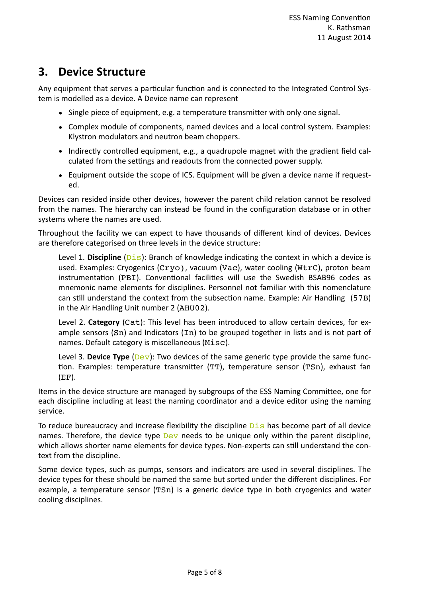## **3. Device Structure**

Any equipment that serves a particular function and is connected to the Integrated Control System is modelled as a device. A Device name can represent

- Single piece of equipment, e.g. a temperature transmitter with only one signal.
- Complex module of components, named devices and a local control system. Examples: Klystron modulators and neutron beam choppers.
- Indirectly controlled equipment, e.g., a quadrupole magnet with the gradient field calculated from the settings and readouts from the connected power supply.
- Equipment outside the scope of ICS. Equipment will be given a device name if requested.

Devices can resided inside other devices, however the parent child relation cannot be resolved from the names. The hierarchy can instead be found in the configuration database or in other systems where the names are used.

Throughout the facility we can expect to have thousands of different kind of devices. Devices are therefore categorised on three levels in the device structure:

Level 1. Discipline  $(Dis)$ : Branch of knowledge indicating the context in which a device is used. Examples: Cryogenics  $(Cryo)$ , vacuum  $(Vac)$ , water cooling  $(WtrC)$ , proton beam instrumentation (PBI). Conventional facilities will use the Swedish BSAB96 codes as mnemonic name elements for disciplines. Personnel not familiar with this nomenclature can still understand the context from the subsection name. Example: Air Handling (57B) in the Air Handling Unit number 2 (AHU02).

Level 2. Category (Cat): This level has been introduced to allow certain devices, for example sensors  $(Sn)$  and Indicators  $(In)$  to be grouped together in lists and is not part of names. Default category is miscellaneous (Misc).

Level 3. **Device Type** (Dev): Two devices of the same generic type provide the same function. Examples: temperature transmitter (TT), temperature sensor (TSn), exhaust fan  $(EF)$ .

Items in the device structure are managed by subgroups of the ESS Naming Committee, one for each discipline including at least the naming coordinator and a device editor using the naming service. 

To reduce bureaucracy and increase flexibility the discipline  $Dis$  has become part of all device names. Therefore, the device type Dev needs to be unique only within the parent discipline, which allows shorter name elements for device types. Non-experts can still understand the context from the discipline.

Some device types, such as pumps, sensors and indicators are used in several disciplines. The device types for these should be named the same but sorted under the different disciplines. For example, a temperature sensor (TSn) is a generic device type in both cryogenics and water cooling disciplines.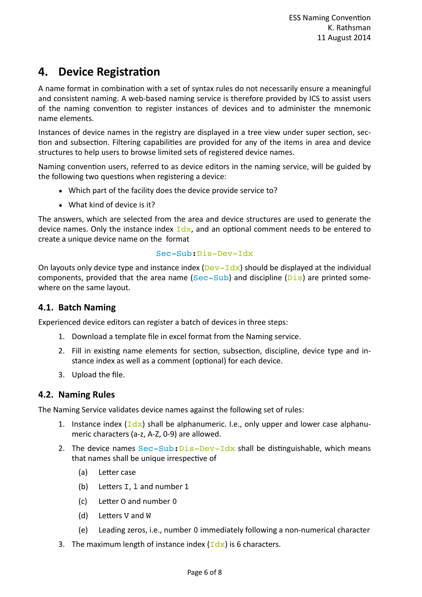## **4.** Device Registration

A name format in combination with a set of syntax rules do not necessarily ensure a meaningful and consistent naming. A web-based naming service is therefore provided by ICS to assist users of the naming convention to register instances of devices and to administer the mnemonic name elements.

Instances of device names in the registry are displayed in a tree view under super section, section and subsection. Filtering capabilities are provided for any of the items in area and device structures to help users to browse limited sets of registered device names.

Naming convention users, referred to as device editors in the naming service, will be guided by the following two questions when registering a device:

- Which part of the facility does the device provide service to?
- $\bullet$  What kind of device is it?

The answers, which are selected from the area and device structures are used to generate the device names. Only the instance index  $Idx$ , and an optional comment needs to be entered to create a unique device name on the format

#### Sec-Sub:Dis-Dev-Idx

On layouts only device type and instance index  $(Dev - Idx)$  should be displayed at the individual components, provided that the area name  $(Sec-Sub)$  and discipline  $(Dis)$  are printed somewhere on the same layout.

#### **4.1. Batch Naming**

Experienced device editors can register a batch of devices in three steps:

- 1. Download a template file in excel format from the Naming service.
- 2. Fill in existing name elements for section, subsection, discipline, device type and instance index as well as a comment (optional) for each device.
- 3. Upload the file.

#### **4.2. Naming Rules**

The Naming Service validates device names against the following set of rules:

- 1. Instance index  $(\text{Idx})$  shall be alphanumeric. I.e., only upper and lower case alphanumeric characters (a-z, A-Z, 0-9) are allowed.
- 2. The device names  $Sec-Sub:Dis-Dev-Idx$  shall be distinguishable, which means that names shall be unique irrespective of
	- (a) Letter case
	- (b) Letters  $I, I$  and number  $1$
	- $(c)$  Letter O and number 0
	- (d) Letters  $V$  and  $W$
	- (e) Leading zeros, i.e., number 0 immediately following a non-numerical character
- 3. The maximum length of instance index  $(\text{Idx})$  is 6 characters.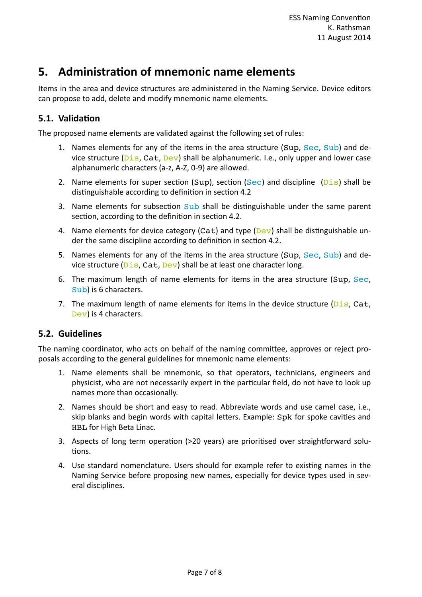## **5.** Administration of mnemonic name elements

Items in the area and device structures are administered in the Naming Service. Device editors can propose to add, delete and modify mnemonic name elements.

#### **5.1. Validation**

The proposed name elements are validated against the following set of rules:

- 1. Names elements for any of the items in the area structure (Sup, Sec, Sub) and device structure  $(Dis, Cat, Dev)$  shall be alphanumeric. I.e., only upper and lower case alphanumeric characters (a-z, A-Z, 0-9) are allowed.
- 2. Name elements for super section (Sup), section (Sec) and discipline  $(Dis)$  shall be distinguishable according to definition in section 4.2
- 3. Name elements for subsection Sub shall be distinguishable under the same parent section, according to the definition in section 4.2.
- 4. Name elements for device category (Cat) and type ( $Dev$ ) shall be distinguishable under the same discipline according to definition in section 4.2.
- 5. Names elements for any of the items in the area structure (Sup, Sec, Sub) and device structure  $(Dis, Cat, Dev)$  shall be at least one character long.
- 6. The maximum length of name elements for items in the area structure (Sup, Sec, Sub) is 6 characters.
- 7. The maximum length of name elements for items in the device structure  $(Dis, Cat,$ Dev) is 4 characters.

#### **5.2. Guidelines**

The naming coordinator, who acts on behalf of the naming committee, approves or reject proposals according to the general guidelines for mnemonic name elements:

- 1. Name elements shall be mnemonic, so that operators, technicians, engineers and physicist, who are not necessarily expert in the particular field, do not have to look up names more than occasionally.
- 2. Names should be short and easy to read. Abbreviate words and use camel case, i.e., skip blanks and begin words with capital letters. Example: Spk for spoke cavities and HBL for High Beta Linac.
- 3. Aspects of long term operation (>20 years) are prioritised over straightforward solutions.
- 4. Use standard nomenclature. Users should for example refer to existing names in the Naming Service before proposing new names, especially for device types used in several disciplines.